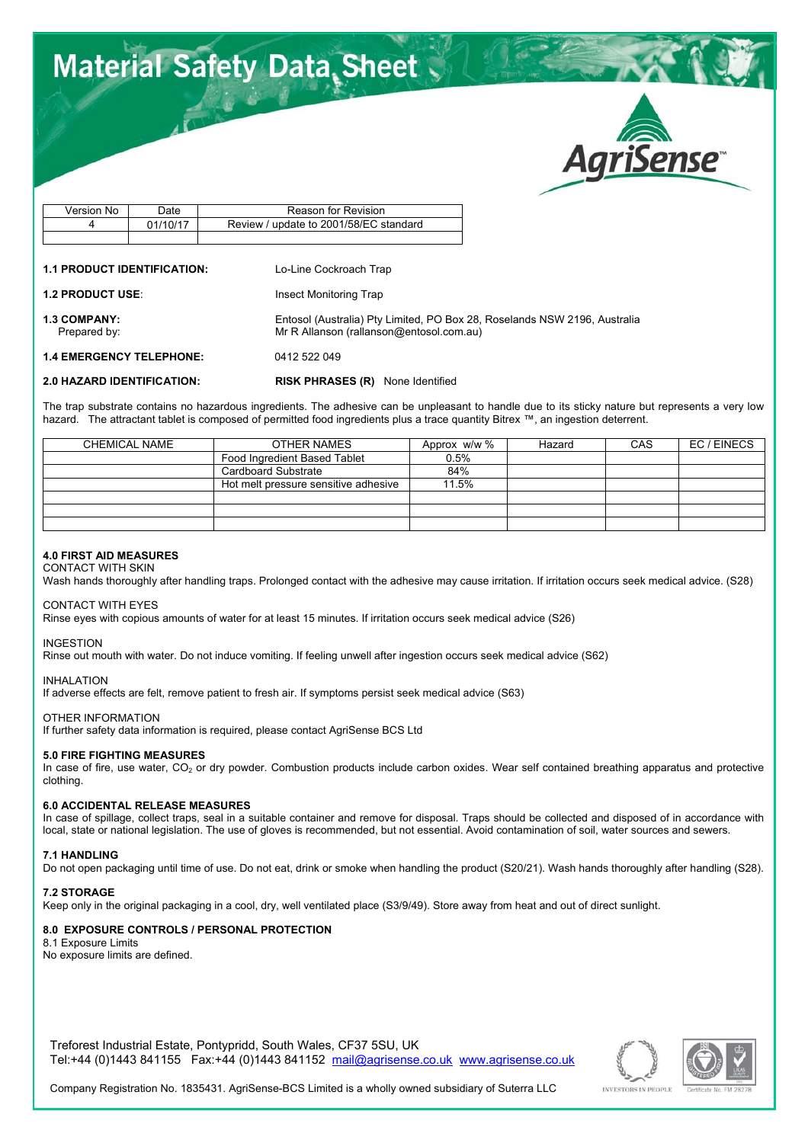# **Material Safety Data Sheet**



| Version No | Date     | Reason for Revision                    |
|------------|----------|----------------------------------------|
|            | 01/10/17 | Review / update to 2001/58/EC standard |
|            |          |                                        |

### **1.1 PRODUCT IDENTIFICATION:** Lo-Line Cockroach Trap

**1.2 PRODUCT USE:** Insect Monitoring Trap

**1.3 COMPANY:** Entosol (Australia) Pty Limited, PO Box 28, Roselands NSW 2196, Australia<br>Prepared by: Mr R Allanson (rallanson @entosol.com.au)

**1.4 EMERGENCY TELEPHONE:** 0412 522 049

**2.0 HAZARD IDENTIFICATION: RISK PHRASES (R)** None Identified

Mr R Allanson (rallanson@entosol.com.au)

The trap substrate contains no hazardous ingredients. The adhesive can be unpleasant to handle due to its sticky nature but represents a very low hazard. The attractant tablet is composed of permitted food ingredients plus a trace quantity Bitrex ™, an ingestion deterrent.

| CHEMICAL NAME | OTHER NAMES                          | Approx w/w % | Hazard | CAS | EC/EINECS |
|---------------|--------------------------------------|--------------|--------|-----|-----------|
|               | Food Ingredient Based Tablet         | 0.5%         |        |     |           |
|               | Cardboard Substrate                  | 84%          |        |     |           |
|               | Hot melt pressure sensitive adhesive | 11.5%        |        |     |           |
|               |                                      |              |        |     |           |
|               |                                      |              |        |     |           |
|               |                                      |              |        |     |           |

# **4.0 FIRST AID MEASURES**

CONTACT WITH SKIN Wash hands thoroughly after handling traps. Prolonged contact with the adhesive may cause irritation. If irritation occurs seek medical advice. (S28)

#### CONTACT WITH EYES

Rinse eyes with copious amounts of water for at least 15 minutes. If irritation occurs seek medical advice (S26)

#### INGESTION

Rinse out mouth with water. Do not induce vomiting. If feeling unwell after ingestion occurs seek medical advice (S62)

INHALATION

If adverse effects are felt, remove patient to fresh air. If symptoms persist seek medical advice (S63)

# OTHER INFORMATION

If further safety data information is required, please contact AgriSense BCS Ltd

# **5.0 FIRE FIGHTING MEASURES**

In case of fire, use water,  $CO<sub>2</sub>$  or dry powder. Combustion products include carbon oxides. Wear self contained breathing apparatus and protective clothing.

# **6.0 ACCIDENTAL RELEASE MEASURES**

In case of spillage, collect traps, seal in a suitable container and remove for disposal. Traps should be collected and disposed of in accordance with local, state or national legislation. The use of gloves is recommended, but not essential. Avoid contamination of soil, water sources and sewers.

#### **7.1 HANDLING**

Do not open packaging until time of use. Do not eat, drink or smoke when handling the product (S20/21). Wash hands thoroughly after handling (S28).

# **7.2 STORAGE**

Keep only in the original packaging in a cool, dry, well ventilated place (S3/9/49). Store away from heat and out of direct sunlight.

# **8.0 EXPOSURE CONTROLS / PERSONAL PROTECTION**

8.1 Exposure Limits No exposure limits are defined.

Treforest Industrial Estate, Pontypridd, South Wales, CF37 5SU, UK Tel:+44 (0)1443 841155 Fax:+44 (0)1443 841152 mail@agrisense.co.uk www.agrisense.co.uk





Company Registration No. 1835431. AgriSense-BCS Limited is a wholly owned subsidiary of Suterra LLC